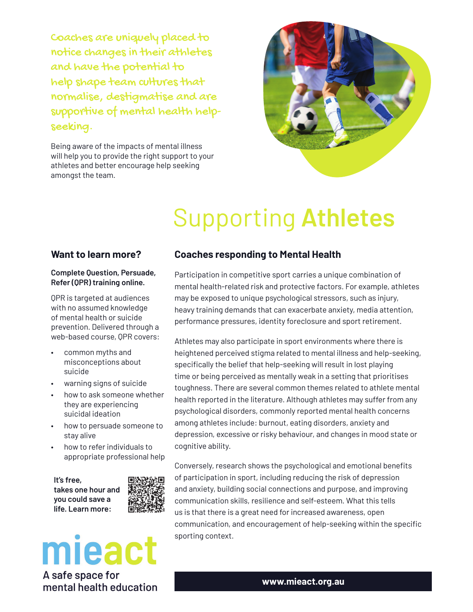Coaches are uniquely placed to notice changes in their athletes and have the potential to help shape team cultures that normalise, destigmatise and are supportive of mental health helpseeking.

Being aware of the impacts of mental illness will help you to provide the right support to your athletes and better encourage help seeking amongst the team.



# Supporting **Athletes**

#### **Want to learn more?**

#### **Complete Question, Persuade, Refer (QPR) training online.**

QPR is targeted at audiences with no assumed knowledge of mental health or suicide prevention. Delivered through a web-based course, QPR covers:

- common myths and misconceptions about suicide
- warning signs of suicide
- how to ask someone whether they are experiencing suicidal ideation
- how to persuade someone to stay alive
- how to refer individuals to appropriate professional help

**It's free, takes one hour and you could save a life. Learn more:**



## mieact A safe space for

mental health education

#### **Coaches responding to Mental Health**

Participation in competitive sport carries a unique combination of mental health-related risk and protective factors. For example, athletes may be exposed to unique psychological stressors, such as injury, heavy training demands that can exacerbate anxiety, media attention, performance pressures, identity foreclosure and sport retirement.

Athletes may also participate in sport environments where there is heightened perceived stigma related to mental illness and help-seeking, specifically the belief that help-seeking will result in lost playing time or being perceived as mentally weak in a setting that prioritises toughness. There are several common themes related to athlete mental health reported in the literature. Although athletes may suffer from any psychological disorders, commonly reported mental health concerns among athletes include: burnout, eating disorders, anxiety and depression, excessive or risky behaviour, and changes in mood state or cognitive ability.

Conversely, research shows the psychological and emotional benefits of participation in sport, including reducing the risk of depression and anxiety, building social connections and purpose, and improving communication skills, resilience and self-esteem. What this tells us is that there is a great need for increased awareness, open communication, and encouragement of help-seeking within the speciťc sporting context.